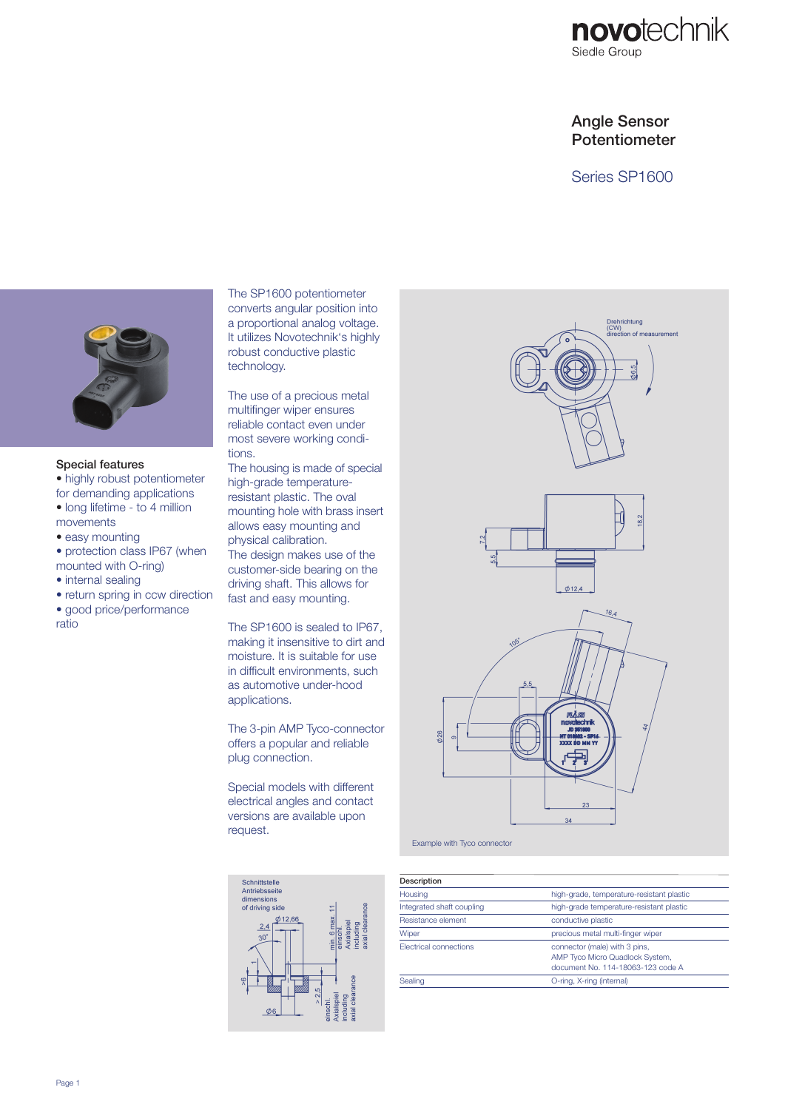

# Angle Sensor Potentiometer

Series SP1600



#### Special features

- highly robust potentiometer for demanding applications
- long lifetime to 4 million movements
- easy mounting
- protection class IP67 (when mounted with O-ring)
- internal sealing
- return spring in ccw direction
- good price/performance ratio

The SP1600 potentiometer converts angular position into a proportional analog voltage. It utilizes Novotechnik's highly robust conductive plastic technology.

The use of a precious metal multifinger wiper ensures reliable contact even under most severe working conditions.

The housing is made of special high-grade temperatureresistant plastic. The oval mounting hole with brass insert allows easy mounting and physical calibration. The design makes use of the customer-side bearing on the driving shaft. This allows for fast and easy mounting.

The SP1600 is sealed to IP67, making it insensitive to dirt and moisture. It is suitable for use in difficult environments, such as automotive under-hood applications.

The 3-pin AMP Tyco-connector offers a popular and reliable plug connection.

Special models with different electrical angles and contact versions are available upon request.





Example with Tyco connector

| Description                   |                                                                                                       |  |  |
|-------------------------------|-------------------------------------------------------------------------------------------------------|--|--|
| Housing                       | high-grade, temperature-resistant plastic                                                             |  |  |
| Integrated shaft coupling     | high-grade temperature-resistant plastic                                                              |  |  |
| Resistance element            | conductive plastic                                                                                    |  |  |
| Wiper                         | precious metal multi-finger wiper                                                                     |  |  |
| <b>Flectrical connections</b> | connector (male) with 3 pins,<br>AMP Tyco Micro Quadlock System.<br>document No. 114-18063-123 code A |  |  |
| Sealing                       | O-ring, X-ring (internal)                                                                             |  |  |